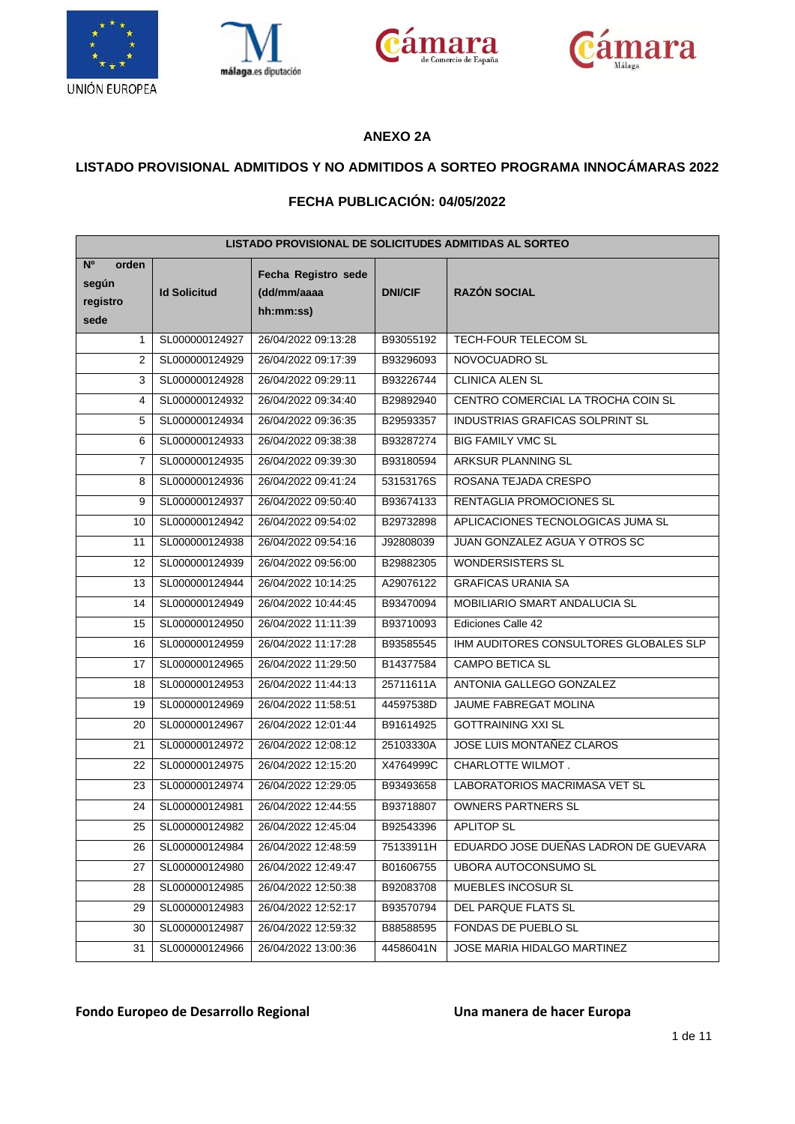







### **ANEXO 2A**

### **LISTADO PROVISIONAL ADMITIDOS Y NO ADMITIDOS A SORTEO PROGRAMA INNOCÁMARAS 2022**

### **FECHA PUBLICACIÓN: 04/05/2022**

| LISTADO PROVISIONAL DE SOLICITUDES ADMITIDAS AL SORTEO |                     |                                                 |                |                                        |  |  |
|--------------------------------------------------------|---------------------|-------------------------------------------------|----------------|----------------------------------------|--|--|
| N <sup>o</sup><br>orden<br>según<br>registro<br>sede   | <b>Id Solicitud</b> | Fecha Registro sede<br>(dd/mm/aaaa<br>hh:mm:ss) | <b>DNI/CIF</b> | <b>RAZÓN SOCIAL</b>                    |  |  |
| $\mathbf{1}$                                           | SL000000124927      | 26/04/2022 09:13:28                             | B93055192      | <b>TECH-FOUR TELECOM SL</b>            |  |  |
| 2                                                      | SL000000124929      | 26/04/2022 09:17:39                             | B93296093      | NOVOCUADRO SL                          |  |  |
| 3                                                      | SL000000124928      | 26/04/2022 09:29:11                             | B93226744      | CLINICA ALEN SL                        |  |  |
| 4                                                      | SL000000124932      | 26/04/2022 09:34:40                             | B29892940      | CENTRO COMERCIAL LA TROCHA COIN SL     |  |  |
| 5                                                      | SL000000124934      | 26/04/2022 09:36:35                             | B29593357      | INDUSTRIAS GRAFICAS SOLPRINT SL        |  |  |
| 6                                                      | SL000000124933      | 26/04/2022 09:38:38                             | B93287274      | <b>BIG FAMILY VMC SL</b>               |  |  |
| $\overline{7}$                                         | SL000000124935      | 26/04/2022 09:39:30                             | B93180594      | ARKSUR PLANNING SL                     |  |  |
| 8                                                      | SL000000124936      | 26/04/2022 09:41:24                             | 53153176S      | ROSANA TEJADA CRESPO                   |  |  |
| 9                                                      | SL000000124937      | 26/04/2022 09:50:40                             | B93674133      | <b>RENTAGLIA PROMOCIONES SL</b>        |  |  |
| 10                                                     | SL000000124942      | 26/04/2022 09:54:02                             | B29732898      | APLICACIONES TECNOLOGICAS JUMA SL      |  |  |
| 11                                                     | SL000000124938      | 26/04/2022 09:54:16                             | J92808039      | JUAN GONZALEZ AGUA Y OTROS SC          |  |  |
| 12                                                     | SL000000124939      | 26/04/2022 09:56:00                             | B29882305      | <b>WONDERSISTERS SL</b>                |  |  |
| 13                                                     | SL000000124944      | 26/04/2022 10:14:25                             | A29076122      | <b>GRAFICAS URANIA SA</b>              |  |  |
| 14                                                     | SL000000124949      | 26/04/2022 10:44:45                             | B93470094      | MOBILIARIO SMART ANDALUCIA SL          |  |  |
| 15                                                     | SL000000124950      | 26/04/2022 11:11:39                             | B93710093      | Ediciones Calle 42                     |  |  |
| 16                                                     | SL000000124959      | 26/04/2022 11:17:28                             | B93585545      | IHM AUDITORES CONSULTORES GLOBALES SLP |  |  |
| 17                                                     | SL000000124965      | 26/04/2022 11:29:50                             | B14377584      | <b>CAMPO BETICA SL</b>                 |  |  |
| 18                                                     | SL000000124953      | 26/04/2022 11:44:13                             | 25711611A      | ANTONIA GALLEGO GONZALEZ               |  |  |
| 19                                                     | SL000000124969      | 26/04/2022 11:58:51                             | 44597538D      | JAUME FABREGAT MOLINA                  |  |  |
| 20                                                     | SL000000124967      | 26/04/2022 12:01:44                             | B91614925      | <b>GOTTRAINING XXI SL</b>              |  |  |
| 21                                                     | SL000000124972      | 26/04/2022 12:08:12                             | 25103330A      | JOSE LUIS MONTAÑEZ CLAROS              |  |  |
| 22                                                     | SL000000124975      | 26/04/2022 12:15:20                             | X4764999C      | CHARLOTTE WILMOT.                      |  |  |
| 23                                                     | SL000000124974      | 26/04/2022 12:29:05                             | B93493658      | LABORATORIOS MACRIMASA VET SL          |  |  |
| 24                                                     | SL000000124981      | 26/04/2022 12:44:55                             | B93718807      | <b>OWNERS PARTNERS SL</b>              |  |  |
| 25                                                     | SL000000124982      | 26/04/2022 12:45:04                             | B92543396      | <b>APLITOP SL</b>                      |  |  |
| 26                                                     | SL000000124984      | 26/04/2022 12:48:59                             | 75133911H      | EDUARDO JOSE DUEÑAS LADRON DE GUEVARA  |  |  |
| 27                                                     | SL000000124980      | 26/04/2022 12:49:47                             | B01606755      | UBORA AUTOCONSUMO SL                   |  |  |
| 28                                                     | SL000000124985      | 26/04/2022 12:50:38                             | B92083708      | MUEBLES INCOSUR SL                     |  |  |
| 29                                                     | SL000000124983      | 26/04/2022 12:52:17                             | B93570794      | <b>DEL PARQUE FLATS SL</b>             |  |  |
| 30                                                     | SL000000124987      | 26/04/2022 12:59:32                             | B88588595      | FONDAS DE PUEBLO SL                    |  |  |
| 31                                                     | SL000000124966      | 26/04/2022 13:00:36                             | 44586041N      | JOSE MARIA HIDALGO MARTINEZ            |  |  |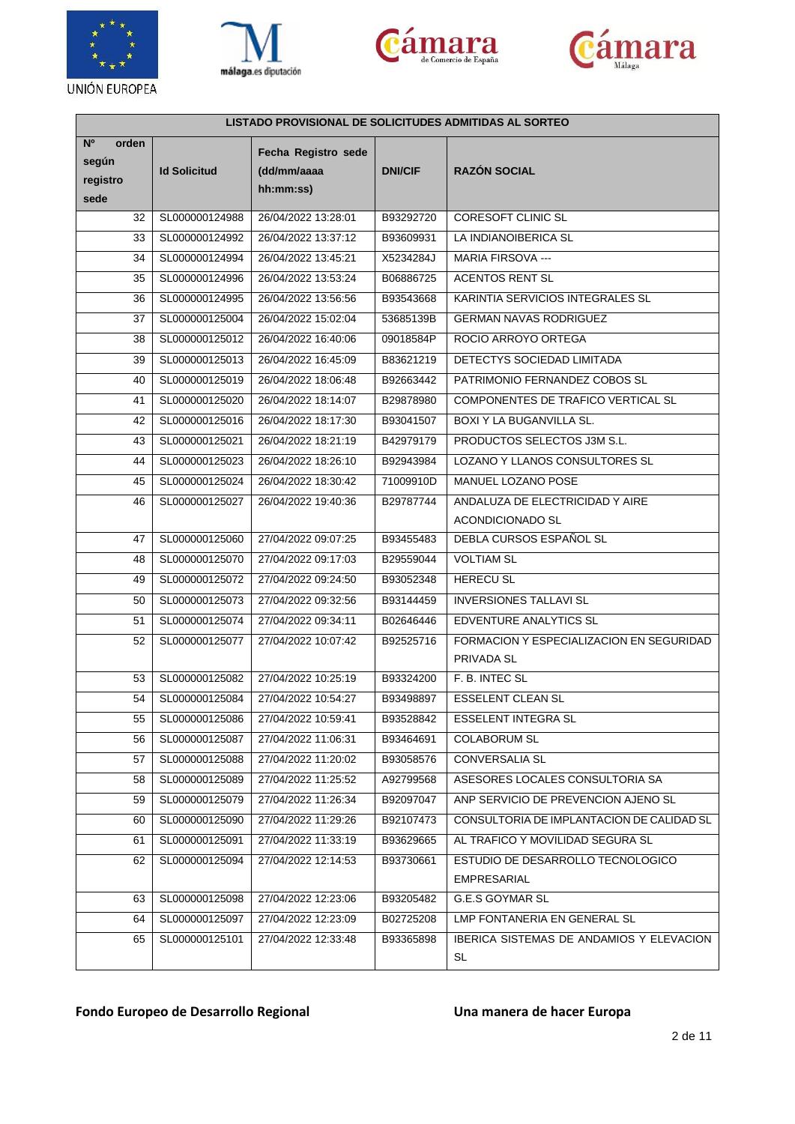







| LISTADO PROVISIONAL DE SOLICITUDES ADMITIDAS AL SORTEO |                     |                                                 |                |                                                              |  |
|--------------------------------------------------------|---------------------|-------------------------------------------------|----------------|--------------------------------------------------------------|--|
| N <sup>o</sup><br>orden<br>según<br>registro<br>sede   | <b>Id Solicitud</b> | Fecha Registro sede<br>(dd/mm/aaaa<br>hh:mm:ss) | <b>DNI/CIF</b> | <b>RAZÓN SOCIAL</b>                                          |  |
| 32                                                     | SL000000124988      | 26/04/2022 13:28:01                             | B93292720      | CORESOFT CLINIC SL                                           |  |
| 33                                                     | SL000000124992      | 26/04/2022 13:37:12                             | B93609931      | LA INDIANOIBERICA SL                                         |  |
| 34                                                     | SL000000124994      | 26/04/2022 13:45:21                             | X5234284J      | <b>MARIA FIRSOVA ---</b>                                     |  |
| 35                                                     | SL000000124996      | 26/04/2022 13:53:24                             | B06886725      | <b>ACENTOS RENT SL</b>                                       |  |
| 36                                                     | SL000000124995      | 26/04/2022 13:56:56                             | B93543668      | KARINTIA SERVICIOS INTEGRALES SL                             |  |
| 37                                                     | SL000000125004      | 26/04/2022 15:02:04                             | 53685139B      | <b>GERMAN NAVAS RODRIGUEZ</b>                                |  |
| 38                                                     | SL000000125012      | 26/04/2022 16:40:06                             | 09018584P      | ROCIO ARROYO ORTEGA                                          |  |
| 39                                                     | SL000000125013      | 26/04/2022 16:45:09                             | B83621219      | DETECTYS SOCIEDAD LIMITADA                                   |  |
| 40                                                     | SL000000125019      | 26/04/2022 18:06:48                             | B92663442      | PATRIMONIO FERNANDEZ COBOS SL                                |  |
| 41                                                     | SL000000125020      | 26/04/2022 18:14:07                             | B29878980      | COMPONENTES DE TRAFICO VERTICAL SL                           |  |
| 42                                                     | SL000000125016      | 26/04/2022 18:17:30                             | B93041507      | BOXI Y LA BUGANVILLA SL.                                     |  |
| 43                                                     | SL000000125021      | 26/04/2022 18:21:19                             | B42979179      | PRODUCTOS SELECTOS J3M S.L.                                  |  |
| 44                                                     | SL000000125023      | 26/04/2022 18:26:10                             | B92943984      | LOZANO Y LLANOS CONSULTORES SL                               |  |
| 45                                                     | SL000000125024      | 26/04/2022 18:30:42                             | 71009910D      | MANUEL LOZANO POSE                                           |  |
| 46                                                     | SL000000125027      | 26/04/2022 19:40:36                             | B29787744      | ANDALUZA DE ELECTRICIDAD Y AIRE                              |  |
|                                                        |                     |                                                 |                | ACONDICIONADO SL                                             |  |
| 47                                                     | SL000000125060      | 27/04/2022 09:07:25                             | B93455483      | DEBLA CURSOS ESPAÑOL SL                                      |  |
| 48                                                     | SL000000125070      | 27/04/2022 09:17:03                             | B29559044      | <b>VOLTIAM SL</b>                                            |  |
| 49                                                     | SL000000125072      | 27/04/2022 09:24:50                             | B93052348      | <b>HERECU SL</b>                                             |  |
| 50                                                     | SL000000125073      | 27/04/2022 09:32:56                             | B93144459      | <b>INVERSIONES TALLAVI SL</b>                                |  |
| 51                                                     | SL000000125074      | 27/04/2022 09:34:11                             | B02646446      | <b>EDVENTURE ANALYTICS SL</b>                                |  |
| 52                                                     | SL000000125077      | 27/04/2022 10:07:42                             | B92525716      | FORMACION Y ESPECIALIZACION EN SEGURIDAD<br>PRIVADA SL       |  |
| 53                                                     | SL000000125082      | 27/04/2022 10:25:19                             | B93324200      | F. B. INTEC SL                                               |  |
| 54                                                     | SL000000125084      | 27/04/2022 10:54:27                             | B93498897      | <b>ESSELENT CLEAN SL</b>                                     |  |
| 55                                                     | SL000000125086      | 27/04/2022 10:59:41                             | B93528842      | <b>ESSELENT INTEGRA SL</b>                                   |  |
| 56                                                     | SL000000125087      | 27/04/2022 11:06:31                             | B93464691      | <b>COLABORUM SL</b>                                          |  |
| 57                                                     | SL000000125088      | 27/04/2022 11:20:02                             | B93058576      | <b>CONVERSALIA SL</b>                                        |  |
| 58                                                     | SL000000125089      | 27/04/2022 11:25:52                             | A92799568      | ASESORES LOCALES CONSULTORIA SA                              |  |
| 59                                                     | SL000000125079      | 27/04/2022 11:26:34                             | B92097047      | ANP SERVICIO DE PREVENCION AJENO SL                          |  |
| 60                                                     | SL000000125090      | 27/04/2022 11:29:26                             | B92107473      | CONSULTORIA DE IMPLANTACION DE CALIDAD SL                    |  |
| 61                                                     | SL000000125091      | 27/04/2022 11:33:19                             | B93629665      | AL TRAFICO Y MOVILIDAD SEGURA SL                             |  |
| 62                                                     | SL000000125094      | 27/04/2022 12:14:53                             | B93730661      | ESTUDIO DE DESARROLLO TECNOLOGICO<br><b>EMPRESARIAL</b>      |  |
| 63                                                     | SL000000125098      | 27/04/2022 12:23:06                             | B93205482      | <b>G.E.S GOYMAR SL</b>                                       |  |
| 64                                                     | SL000000125097      | 27/04/2022 12:23:09                             | B02725208      | LMP FONTANERIA EN GENERAL SL                                 |  |
| 65                                                     | SL000000125101      | 27/04/2022 12:33:48                             | B93365898      | <b>IBERICA SISTEMAS DE ANDAMIOS Y ELEVACION</b><br><b>SL</b> |  |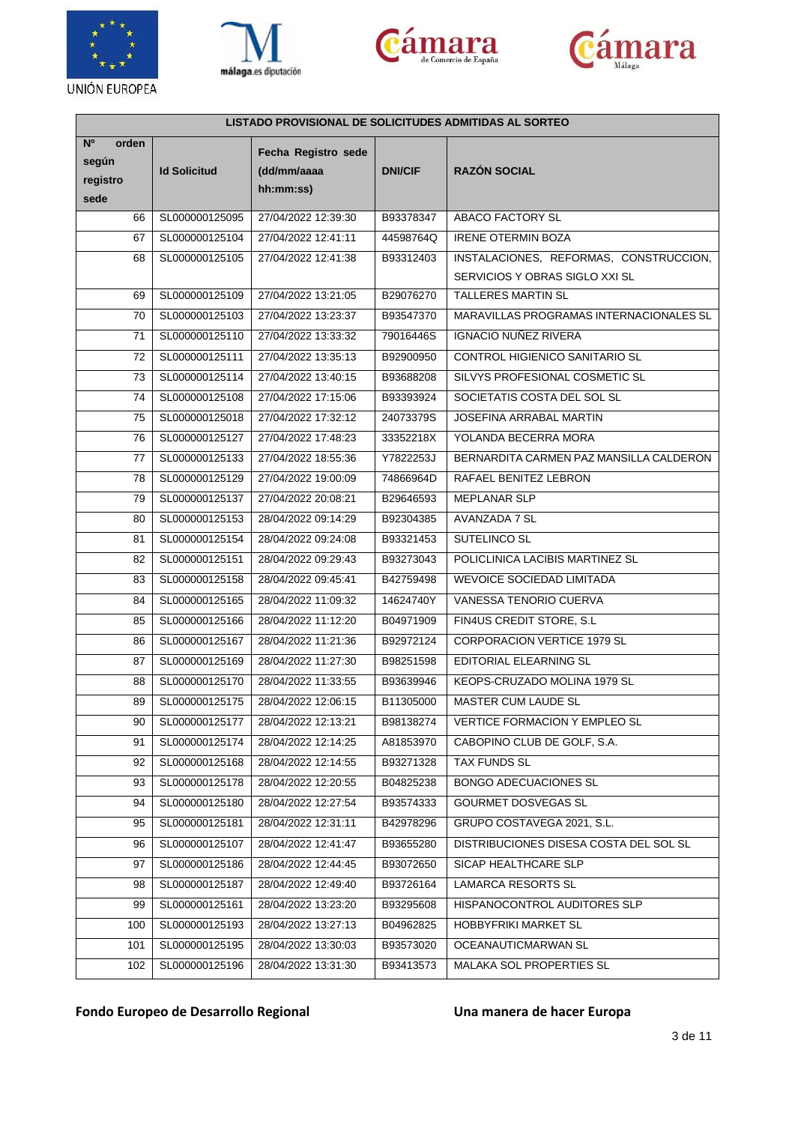







| LISTADO PROVISIONAL DE SOLICITUDES ADMITIDAS AL SORTEO |                     |                                                 |                |                                         |  |
|--------------------------------------------------------|---------------------|-------------------------------------------------|----------------|-----------------------------------------|--|
| N <sup>o</sup><br>orden<br>según<br>registro<br>sede   | <b>Id Solicitud</b> | Fecha Registro sede<br>(dd/mm/aaaa<br>hh:mm:ss) | <b>DNI/CIF</b> | <b>RAZÓN SOCIAL</b>                     |  |
| 66                                                     | SL000000125095      | 27/04/2022 12:39:30                             | B93378347      | <b>ABACO FACTORY SL</b>                 |  |
| 67                                                     | SL000000125104      | 27/04/2022 12:41:11                             | 44598764Q      | <b>IRENE OTERMIN BOZA</b>               |  |
| 68                                                     | SL000000125105      | 27/04/2022 12:41:38                             | B93312403      | INSTALACIONES, REFORMAS, CONSTRUCCION,  |  |
|                                                        |                     |                                                 |                | SERVICIOS Y OBRAS SIGLO XXI SL          |  |
| 69                                                     | SL000000125109      | 27/04/2022 13:21:05                             | B29076270      | <b>TALLERES MARTIN SL</b>               |  |
| 70                                                     | SL000000125103      | 27/04/2022 13:23:37                             | B93547370      | MARAVILLAS PROGRAMAS INTERNACIONALES SL |  |
| 71                                                     | SL000000125110      | 27/04/2022 13:33:32                             | 79016446S      | <b>IGNACIO NUÑEZ RIVERA</b>             |  |
| 72                                                     | SL000000125111      | 27/04/2022 13:35:13                             | B92900950      | CONTROL HIGIENICO SANITARIO SL          |  |
| 73                                                     | SL000000125114      | 27/04/2022 13:40:15                             | B93688208      | SILVYS PROFESIONAL COSMETIC SL          |  |
| 74                                                     | SL000000125108      | 27/04/2022 17:15:06                             | B93393924      | SOCIETATIS COSTA DEL SOL SL             |  |
| 75                                                     | SL000000125018      | 27/04/2022 17:32:12                             | 24073379S      | JOSEFINA ARRABAL MARTIN                 |  |
| 76                                                     | SL000000125127      | 27/04/2022 17:48:23                             | 33352218X      | YOLANDA BECERRA MORA                    |  |
| 77                                                     | SL000000125133      | 27/04/2022 18:55:36                             | Y7822253J      | BERNARDITA CARMEN PAZ MANSILLA CALDERON |  |
| 78                                                     | SL000000125129      | 27/04/2022 19:00:09                             | 74866964D      | RAFAEL BENITEZ LEBRON                   |  |
| 79                                                     | SL000000125137      | 27/04/2022 20:08:21                             | B29646593      | <b>MEPLANAR SLP</b>                     |  |
| 80                                                     | SL000000125153      | 28/04/2022 09:14:29                             | B92304385      | AVANZADA 7 SL                           |  |
| 81                                                     | SL000000125154      | 28/04/2022 09:24:08                             | B93321453      | SUTELINCO SL                            |  |
| 82                                                     | SL000000125151      | 28/04/2022 09:29:43                             | B93273043      | POLICLINICA LACIBIS MARTINEZ SL         |  |
| 83                                                     | SL000000125158      | 28/04/2022 09:45:41                             | B42759498      | <b>WEVOICE SOCIEDAD LIMITADA</b>        |  |
| 84                                                     | SL000000125165      | 28/04/2022 11:09:32                             | 14624740Y      | VANESSA TENORIO CUERVA                  |  |
| 85                                                     | SL000000125166      | 28/04/2022 11:12:20                             | B04971909      | FIN4US CREDIT STORE, S.L.               |  |
| 86                                                     | SL000000125167      | 28/04/2022 11:21:36                             | B92972124      | CORPORACION VERTICE 1979 SL             |  |
| 87                                                     | SL000000125169      | 28/04/2022 11:27:30                             | B98251598      | EDITORIAL ELEARNING SL                  |  |
| 88                                                     | SL000000125170      | 28/04/2022 11:33:55                             | B93639946      | KEOPS-CRUZADO MOLINA 1979 SL            |  |
| 89                                                     | SL000000125175      | 28/04/2022 12:06:15                             | B11305000      | <b>MASTER CUM LAUDE SL</b>              |  |
| 90                                                     | SL000000125177      | 28/04/2022 12:13:21                             | B98138274      | <b>VERTICE FORMACION Y EMPLEO SL</b>    |  |
| 91                                                     | SL000000125174      | 28/04/2022 12:14:25                             | A81853970      | CABOPINO CLUB DE GOLF, S.A.             |  |
| 92                                                     | SL000000125168      | 28/04/2022 12:14:55                             | B93271328      | <b>TAX FUNDS SL</b>                     |  |
| 93                                                     | SL000000125178      | 28/04/2022 12:20:55                             | B04825238      | BONGO ADECUACIONES SL                   |  |
| 94                                                     | SL000000125180      | 28/04/2022 12:27:54                             | B93574333      | GOURMET DOSVEGAS SL                     |  |
| 95                                                     | SL000000125181      | 28/04/2022 12:31:11                             | B42978296      | GRUPO COSTAVEGA 2021, S.L.              |  |
| 96                                                     | SL000000125107      | 28/04/2022 12:41:47                             | B93655280      | DISTRIBUCIONES DISESA COSTA DEL SOL SL  |  |
| 97                                                     | SL000000125186      | 28/04/2022 12:44:45                             | B93072650      | SICAP HEALTHCARE SLP                    |  |
| 98                                                     | SL000000125187      | 28/04/2022 12:49:40                             | B93726164      | LAMARCA RESORTS SL                      |  |
| 99                                                     | SL000000125161      | 28/04/2022 13:23:20                             | B93295608      | HISPANOCONTROL AUDITORES SLP            |  |
| 100                                                    | SL000000125193      | 28/04/2022 13:27:13                             | B04962825      | <b>HOBBYFRIKI MARKET SL</b>             |  |
| 101                                                    | SL000000125195      | 28/04/2022 13:30:03                             | B93573020      | OCEANAUTICMARWAN SL                     |  |
| 102                                                    | SL000000125196      | 28/04/2022 13:31:30                             | B93413573      | MALAKA SOL PROPERTIES SL                |  |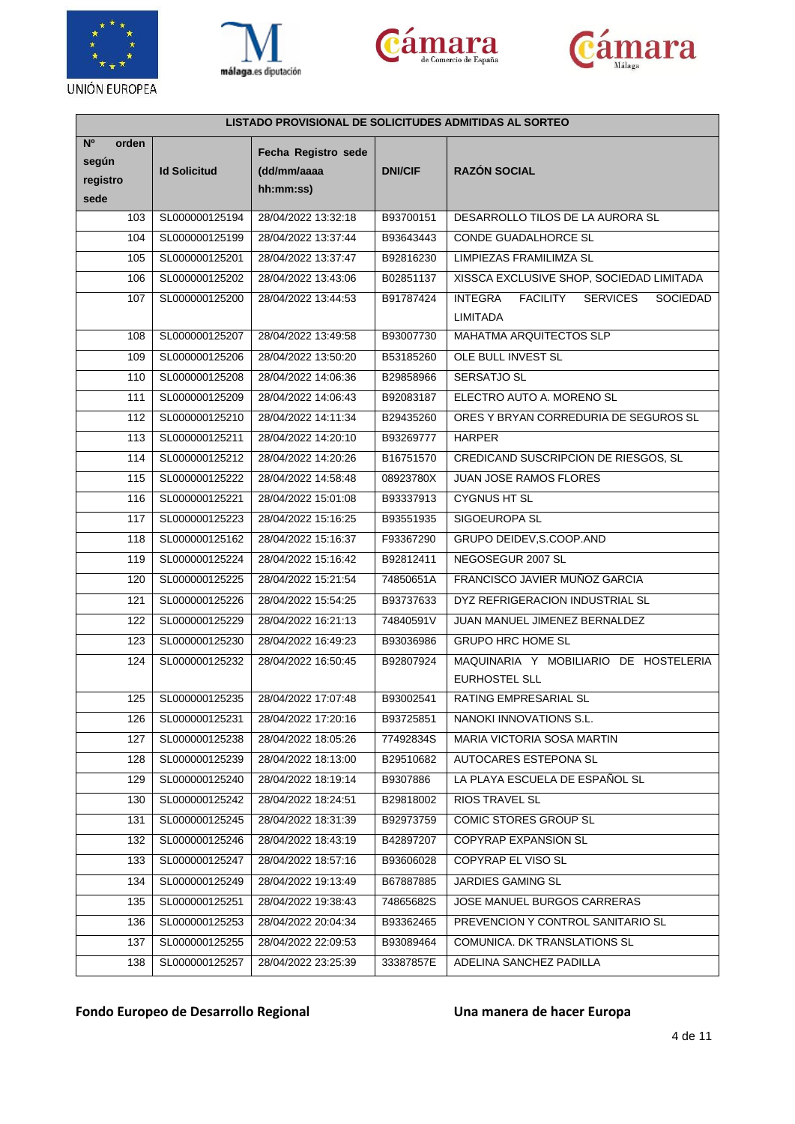







| LISTADO PROVISIONAL DE SOLICITUDES ADMITIDAS AL SORTEO |                     |                                                 |                |                                                                                     |  |
|--------------------------------------------------------|---------------------|-------------------------------------------------|----------------|-------------------------------------------------------------------------------------|--|
| N <sup>o</sup><br>orden<br>según<br>registro<br>sede   | <b>Id Solicitud</b> | Fecha Registro sede<br>(dd/mm/aaaa<br>hh:mm:ss) | <b>DNI/CIF</b> | <b>RAZÓN SOCIAL</b>                                                                 |  |
| 103                                                    | SL000000125194      | 28/04/2022 13:32:18                             | B93700151      | DESARROLLO TILOS DE LA AURORA SL                                                    |  |
| 104                                                    | SL000000125199      | 28/04/2022 13:37:44                             | B93643443      | CONDE GUADALHORCE SL                                                                |  |
| 105                                                    | SL000000125201      | 28/04/2022 13:37:47                             | B92816230      | LIMPIEZAS FRAMILIMZA SL                                                             |  |
| 106                                                    | SL000000125202      | 28/04/2022 13:43:06                             | B02851137      | XISSCA EXCLUSIVE SHOP, SOCIEDAD LIMITADA                                            |  |
| 107                                                    | SL000000125200      | 28/04/2022 13:44:53                             | B91787424      | <b>INTEGRA</b><br><b>FACILITY</b><br><b>SERVICES</b><br>SOCIEDAD<br><b>LIMITADA</b> |  |
| 108                                                    | SL000000125207      | 28/04/2022 13:49:58                             | B93007730      | MAHATMA ARQUITECTOS SLP                                                             |  |
| 109                                                    | SL000000125206      | 28/04/2022 13:50:20                             | B53185260      | OLE BULL INVEST SL                                                                  |  |
| 110                                                    | SL000000125208      | 28/04/2022 14:06:36                             | B29858966      | SERSATJO SL                                                                         |  |
| 111                                                    | SL000000125209      | 28/04/2022 14:06:43                             | B92083187      | ELECTRO AUTO A. MORENO SL                                                           |  |
| 112                                                    | SL000000125210      | 28/04/2022 14:11:34                             | B29435260      | ORES Y BRYAN CORREDURIA DE SEGUROS SL                                               |  |
| 113                                                    | SL000000125211      | 28/04/2022 14:20:10                             | B93269777      | <b>HARPER</b>                                                                       |  |
| 114                                                    | SL000000125212      | 28/04/2022 14:20:26                             | B16751570      | CREDICAND SUSCRIPCION DE RIESGOS, SL                                                |  |
| 115                                                    | SL000000125222      | 28/04/2022 14:58:48                             | 08923780X      | <b>JUAN JOSE RAMOS FLORES</b>                                                       |  |
| 116                                                    | SL000000125221      | 28/04/2022 15:01:08                             | B93337913      | <b>CYGNUS HT SL</b>                                                                 |  |
| 117                                                    | SL000000125223      | 28/04/2022 15:16:25                             | B93551935      | SIGOEUROPA SL                                                                       |  |
| 118                                                    | SL000000125162      | 28/04/2022 15:16:37                             | F93367290      | GRUPO DEIDEV, S.COOP.AND                                                            |  |
| 119                                                    | SL000000125224      | 28/04/2022 15:16:42                             | B92812411      | NEGOSEGUR 2007 SL                                                                   |  |
| 120                                                    | SL000000125225      | 28/04/2022 15:21:54                             | 74850651A      | FRANCISCO JAVIER MUÑOZ GARCIA                                                       |  |
| 121                                                    | SL000000125226      | 28/04/2022 15:54:25                             | B93737633      | DYZ REFRIGERACION INDUSTRIAL SL                                                     |  |
| 122                                                    | SL000000125229      | 28/04/2022 16:21:13                             | 74840591V      | JUAN MANUEL JIMENEZ BERNALDEZ                                                       |  |
| 123                                                    | SL000000125230      | 28/04/2022 16:49:23                             | B93036986      | <b>GRUPO HRC HOME SL</b>                                                            |  |
| 124                                                    | SL000000125232      | 28/04/2022 16:50:45                             | B92807924      | MAQUINARIA Y MOBILIARIO DE HOSTELERIA<br>EURHOSTEL SLL                              |  |
| 125                                                    | SL000000125235      | 28/04/2022 17:07:48                             | B93002541      | RATING EMPRESARIAL SL                                                               |  |
| 126                                                    | SL000000125231      | 28/04/2022 17:20:16                             | B93725851      | NANOKI INNOVATIONS S.L.                                                             |  |
| 127                                                    | SL000000125238      | 28/04/2022 18:05:26                             | 77492834S      | MARIA VICTORIA SOSA MARTIN                                                          |  |
| 128                                                    | SL000000125239      | 28/04/2022 18:13:00                             | B29510682      | AUTOCARES ESTEPONA SL                                                               |  |
| 129                                                    | SL000000125240      | 28/04/2022 18:19:14                             | B9307886       | LA PLAYA ESCUELA DE ESPAÑOL SL                                                      |  |
| 130                                                    | SL000000125242      | 28/04/2022 18:24:51                             | B29818002      | <b>RIOS TRAVEL SL</b>                                                               |  |
| 131                                                    | SL000000125245      | 28/04/2022 18:31:39                             | B92973759      | COMIC STORES GROUP SL                                                               |  |
| 132                                                    | SL000000125246      | 28/04/2022 18:43:19                             | B42897207      | <b>COPYRAP EXPANSION SL</b>                                                         |  |
| 133                                                    | SL000000125247      | 28/04/2022 18:57:16                             | B93606028      | COPYRAP EL VISO SL                                                                  |  |
| 134                                                    | SL000000125249      | 28/04/2022 19:13:49                             | B67887885      | JARDIES GAMING SL                                                                   |  |
| 135                                                    | SL000000125251      | 28/04/2022 19:38:43                             | 74865682S      | JOSE MANUEL BURGOS CARRERAS                                                         |  |
| 136                                                    | SL000000125253      | 28/04/2022 20:04:34                             | B93362465      | PREVENCION Y CONTROL SANITARIO SL                                                   |  |
| 137                                                    | SL000000125255      | 28/04/2022 22:09:53                             | B93089464      | COMUNICA. DK TRANSLATIONS SL                                                        |  |
| 138                                                    | SL000000125257      | 28/04/2022 23:25:39                             | 33387857E      | ADELINA SANCHEZ PADILLA                                                             |  |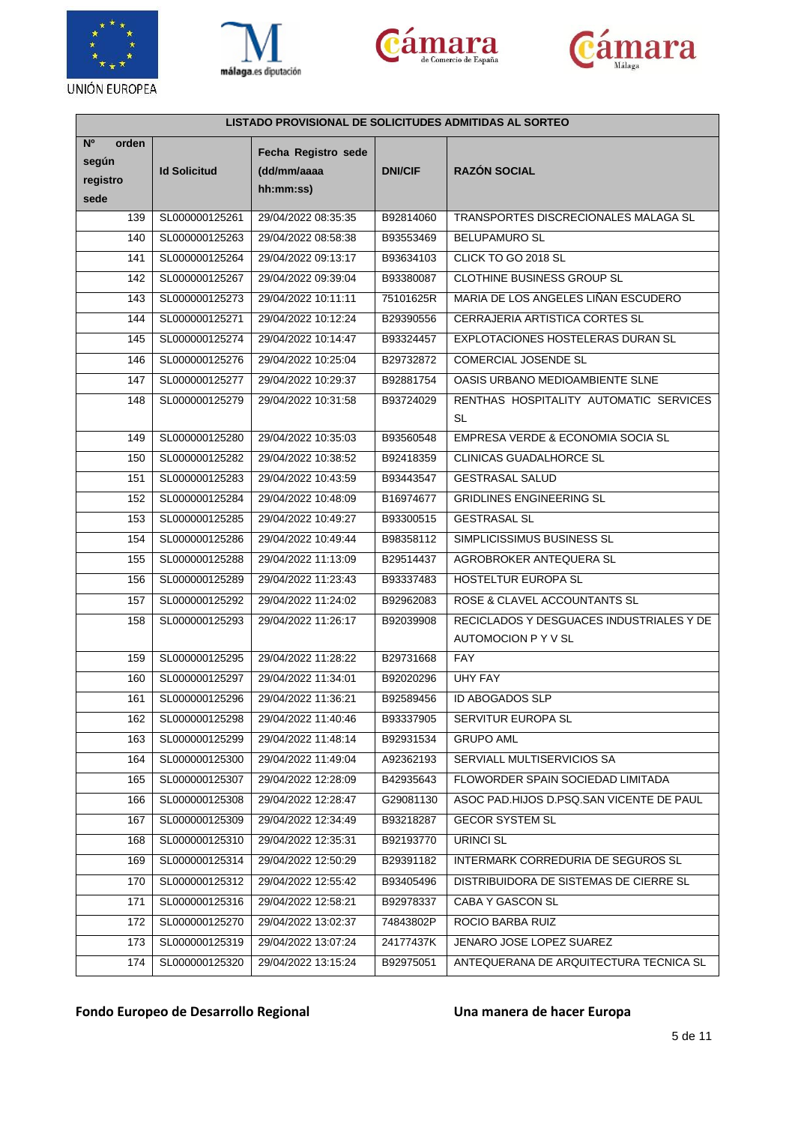







| LISTADO PROVISIONAL DE SOLICITUDES ADMITIDAS AL SORTEO |                     |                                                 |                |                                                                 |  |
|--------------------------------------------------------|---------------------|-------------------------------------------------|----------------|-----------------------------------------------------------------|--|
| N <sup>o</sup><br>orden<br>según<br>registro<br>sede   | <b>Id Solicitud</b> | Fecha Registro sede<br>(dd/mm/aaaa<br>hh:mm:ss) | <b>DNI/CIF</b> | <b>RAZÓN SOCIAL</b>                                             |  |
| 139                                                    | SL000000125261      | 29/04/2022 08:35:35                             | B92814060      | TRANSPORTES DISCRECIONALES MALAGA SL                            |  |
| 140                                                    | SL000000125263      | 29/04/2022 08:58:38                             | B93553469      | <b>BELUPAMURO SL</b>                                            |  |
| 141                                                    | SL000000125264      | 29/04/2022 09:13:17                             | B93634103      | CLICK TO GO 2018 SL                                             |  |
| 142                                                    | SL000000125267      | 29/04/2022 09:39:04                             | B93380087      | CLOTHINE BUSINESS GROUP SL                                      |  |
| 143                                                    | SL000000125273      | 29/04/2022 10:11:11                             | 75101625R      | MARIA DE LOS ANGELES LIÑAN ESCUDERO                             |  |
| 144                                                    | SL000000125271      | 29/04/2022 10:12:24                             | B29390556      | CERRAJERIA ARTISTICA CORTES SL                                  |  |
| 145                                                    | SL000000125274      | 29/04/2022 10:14:47                             | B93324457      | EXPLOTACIONES HOSTELERAS DURAN SL                               |  |
| 146                                                    | SL000000125276      | 29/04/2022 10:25:04                             | B29732872      | <b>COMERCIAL JOSENDE SL</b>                                     |  |
| 147                                                    | SL000000125277      | 29/04/2022 10:29:37                             | B92881754      | OASIS URBANO MEDIOAMBIENTE SLNE                                 |  |
| 148                                                    | SL000000125279      | 29/04/2022 10:31:58                             | B93724029      | RENTHAS HOSPITALITY AUTOMATIC SERVICES                          |  |
|                                                        |                     |                                                 |                | <b>SL</b>                                                       |  |
| 149                                                    | SL000000125280      | 29/04/2022 10:35:03                             | B93560548      | EMPRESA VERDE & ECONOMIA SOCIA SL                               |  |
| 150                                                    | SL000000125282      | 29/04/2022 10:38:52                             | B92418359      | CLINICAS GUADALHORCE SL                                         |  |
| 151                                                    | SL000000125283      | 29/04/2022 10:43:59                             | B93443547      | <b>GESTRASAL SALUD</b>                                          |  |
| 152                                                    | SL000000125284      | 29/04/2022 10:48:09                             | B16974677      | <b>GRIDLINES ENGINEERING SL</b>                                 |  |
| 153                                                    | SL000000125285      | 29/04/2022 10:49:27                             | B93300515      | <b>GESTRASAL SL</b>                                             |  |
| 154                                                    | SL000000125286      | 29/04/2022 10:49:44                             | B98358112      | SIMPLICISSIMUS BUSINESS SL                                      |  |
| 155                                                    | SL000000125288      | 29/04/2022 11:13:09                             | B29514437      | AGROBROKER ANTEQUERA SL                                         |  |
| 156                                                    | SL000000125289      | 29/04/2022 11:23:43                             | B93337483      | HOSTELTUR EUROPA SL                                             |  |
| 157                                                    | SL000000125292      | 29/04/2022 11:24:02                             | B92962083      | ROSE & CLAVEL ACCOUNTANTS SL                                    |  |
| 158                                                    | SL000000125293      | 29/04/2022 11:26:17                             | B92039908      | RECICLADOS Y DESGUACES INDUSTRIALES Y DE<br>AUTOMOCION P Y V SL |  |
| 159                                                    | SL000000125295      | 29/04/2022 11:28:22                             | B29731668      | FAY                                                             |  |
| 160                                                    | SL000000125297      | 29/04/2022 11:34:01                             | B92020296      | <b>UHY FAY</b>                                                  |  |
| 161                                                    | SL000000125296      | 29/04/2022 11:36:21                             | B92589456      | <b>ID ABOGADOS SLP</b>                                          |  |
| 162                                                    | SL000000125298      | 29/04/2022 11:40:46                             | B93337905      | <b>SERVITUR EUROPA SL</b>                                       |  |
| 163                                                    | SL000000125299      | 29/04/2022 11:48:14                             | B92931534      | <b>GRUPO AML</b>                                                |  |
| 164                                                    | SL000000125300      | 29/04/2022 11:49:04                             | A92362193      | SERVIALL MULTISERVICIOS SA                                      |  |
| 165                                                    | SL000000125307      | 29/04/2022 12:28:09                             | B42935643      | FLOWORDER SPAIN SOCIEDAD LIMITADA                               |  |
| 166                                                    | SL000000125308      | 29/04/2022 12:28:47                             | G29081130      | ASOC PAD.HIJOS D.PSQ.SAN VICENTE DE PAUL                        |  |
| 167                                                    | SL000000125309      | 29/04/2022 12:34:49                             | B93218287      | <b>GECOR SYSTEM SL</b>                                          |  |
| 168                                                    | SL000000125310      | 29/04/2022 12:35:31                             | B92193770      | <b>URINCI SL</b>                                                |  |
| 169                                                    | SL000000125314      | 29/04/2022 12:50:29                             | B29391182      | INTERMARK CORREDURIA DE SEGUROS SL                              |  |
| 170                                                    | SL000000125312      | 29/04/2022 12:55:42                             | B93405496      | DISTRIBUIDORA DE SISTEMAS DE CIERRE SL                          |  |
| 171                                                    | SL000000125316      | 29/04/2022 12:58:21                             | B92978337      | CABA Y GASCON SL                                                |  |
| 172                                                    | SL000000125270      | 29/04/2022 13:02:37                             | 74843802P      | ROCIO BARBA RUIZ                                                |  |
| 173                                                    | SL000000125319      | 29/04/2022 13:07:24                             | 24177437K      | JENARO JOSE LOPEZ SUAREZ                                        |  |
| 174                                                    | SL000000125320      | 29/04/2022 13:15:24                             | B92975051      | ANTEQUERANA DE ARQUITECTURA TECNICA SL                          |  |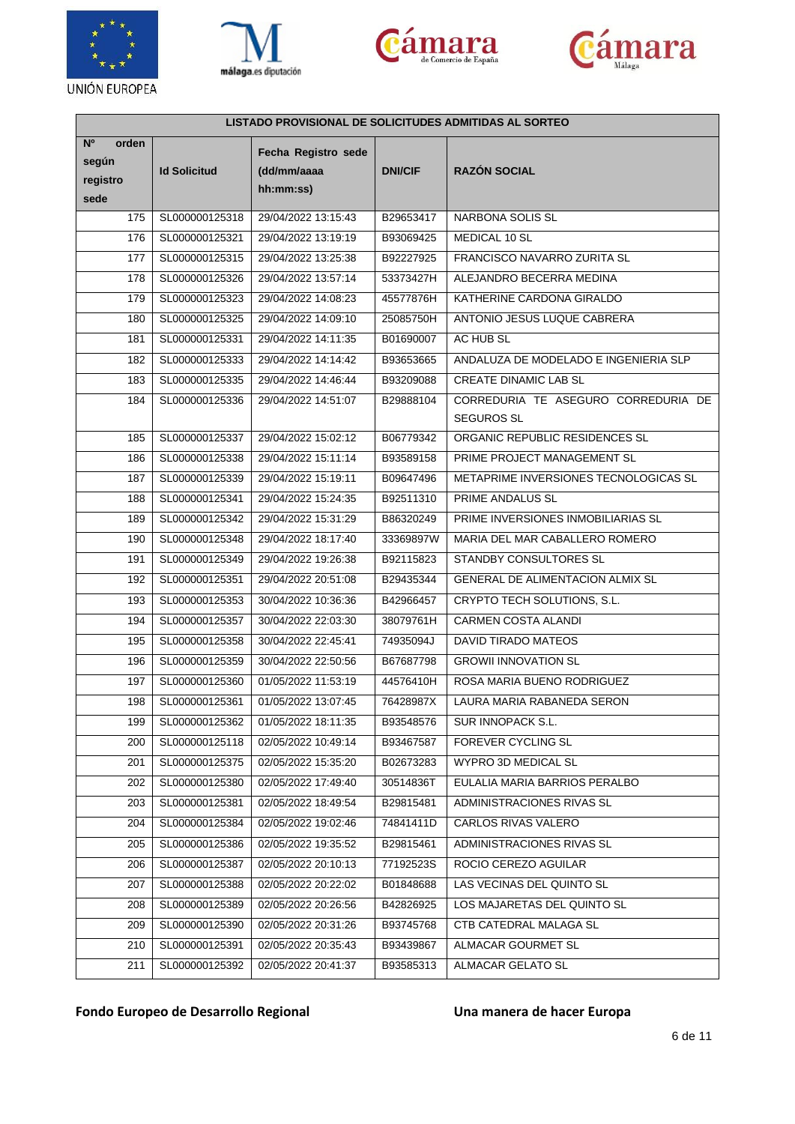







| <b>LISTADO PROVISIONAL DE SOLICITUDES ADMITIDAS AL SORTEO</b> |                     |                                                 |                |                                                          |  |
|---------------------------------------------------------------|---------------------|-------------------------------------------------|----------------|----------------------------------------------------------|--|
| N <sup>o</sup><br>orden<br>según<br>registro<br>sede          | <b>Id Solicitud</b> | Fecha Registro sede<br>(dd/mm/aaaa<br>hh:mm:ss) | <b>DNI/CIF</b> | <b>RAZÓN SOCIAL</b>                                      |  |
| 175                                                           | SL000000125318      | 29/04/2022 13:15:43                             | B29653417      | NARBONA SOLIS SL                                         |  |
| 176                                                           | SL000000125321      | 29/04/2022 13:19:19                             | B93069425      | MEDICAL 10 SL                                            |  |
| 177                                                           | SL000000125315      | 29/04/2022 13:25:38                             | B92227925      | FRANCISCO NAVARRO ZURITA SL                              |  |
| 178                                                           | SL000000125326      | 29/04/2022 13:57:14                             | 53373427H      | ALEJANDRO BECERRA MEDINA                                 |  |
| 179                                                           | SL000000125323      | 29/04/2022 14:08:23                             | 45577876H      | KATHERINE CARDONA GIRALDO                                |  |
| 180                                                           | SL000000125325      | 29/04/2022 14:09:10                             | 25085750H      | ANTONIO JESUS LUQUE CABRERA                              |  |
| 181                                                           | SL000000125331      | 29/04/2022 14:11:35                             | B01690007      | AC HUB SL                                                |  |
| 182                                                           | SL000000125333      | 29/04/2022 14:14:42                             | B93653665      | ANDALUZA DE MODELADO E INGENIERIA SLP                    |  |
| 183                                                           | SL000000125335      | 29/04/2022 14:46:44                             | B93209088      | CREATE DINAMIC LAB SL                                    |  |
| 184                                                           | SL000000125336      | 29/04/2022 14:51:07                             | B29888104      | CORREDURIA TE ASEGURO CORREDURIA DE<br><b>SEGUROS SL</b> |  |
| 185                                                           | SL000000125337      | 29/04/2022 15:02:12                             | B06779342      | ORGANIC REPUBLIC RESIDENCES SL                           |  |
| 186                                                           | SL000000125338      | 29/04/2022 15:11:14                             | B93589158      | PRIME PROJECT MANAGEMENT SL                              |  |
| 187                                                           | SL000000125339      | 29/04/2022 15:19:11                             | B09647496      | METAPRIME INVERSIONES TECNOLOGICAS SL                    |  |
| 188                                                           | SL000000125341      | 29/04/2022 15:24:35                             | B92511310      | PRIME ANDALUS SL                                         |  |
| 189                                                           | SL000000125342      | 29/04/2022 15:31:29                             | B86320249      | PRIME INVERSIONES INMOBILIARIAS SL                       |  |
| 190                                                           | SL000000125348      | 29/04/2022 18:17:40                             | 33369897W      | MARIA DEL MAR CABALLERO ROMERO                           |  |
| 191                                                           | SL000000125349      | 29/04/2022 19:26:38                             | B92115823      | STANDBY CONSULTORES SL                                   |  |
| 192                                                           | SL000000125351      | 29/04/2022 20:51:08                             | B29435344      | GENERAL DE ALIMENTACION ALMIX SL                         |  |
| 193                                                           | SL000000125353      | 30/04/2022 10:36:36                             | B42966457      | CRYPTO TECH SOLUTIONS, S.L.                              |  |
| 194                                                           | SL000000125357      | 30/04/2022 22:03:30                             | 38079761H      | <b>CARMEN COSTA ALANDI</b>                               |  |
| 195                                                           | SL000000125358      | 30/04/2022 22:45:41                             | 74935094J      | DAVID TIRADO MATEOS                                      |  |
| 196                                                           | SL000000125359      | 30/04/2022 22:50:56                             | B67687798      | <b>GROWII INNOVATION SL</b>                              |  |
| 197                                                           | SL000000125360      | 01/05/2022 11:53:19                             | 44576410H      | ROSA MARIA BUENO RODRIGUEZ                               |  |
| 198                                                           | SL000000125361      | 01/05/2022 13:07:45                             | 76428987X      | LAURA MARIA RABANEDA SERON                               |  |
| 199                                                           | SL000000125362      | 01/05/2022 18:11:35                             | B93548576      | SUR INNOPACK S.L.                                        |  |
| 200                                                           | SL000000125118      | 02/05/2022 10:49:14                             | B93467587      | FOREVER CYCLING SL                                       |  |
| 201                                                           | SL000000125375      | 02/05/2022 15:35:20                             | B02673283      | WYPRO 3D MEDICAL SL                                      |  |
| 202                                                           | SL000000125380      | 02/05/2022 17:49:40                             | 30514836T      | EULALIA MARIA BARRIOS PERALBO                            |  |
| 203                                                           | SL000000125381      | 02/05/2022 18:49:54                             | B29815481      | ADMINISTRACIONES RIVAS SL                                |  |
| 204                                                           | SL000000125384      | 02/05/2022 19:02:46                             | 74841411D      | CARLOS RIVAS VALERO                                      |  |
| 205                                                           | SL000000125386      | 02/05/2022 19:35:52                             | B29815461      | ADMINISTRACIONES RIVAS SL                                |  |
| 206                                                           | SL000000125387      | 02/05/2022 20:10:13                             | 77192523S      | ROCIO CEREZO AGUILAR                                     |  |
| 207                                                           | SL000000125388      | 02/05/2022 20:22:02                             | B01848688      | LAS VECINAS DEL QUINTO SL                                |  |
| 208                                                           | SL000000125389      | 02/05/2022 20:26:56                             | B42826925      | LOS MAJARETAS DEL QUINTO SL                              |  |
| 209                                                           | SL000000125390      | 02/05/2022 20:31:26                             | B93745768      | CTB CATEDRAL MALAGA SL                                   |  |
| 210                                                           | SL000000125391      | 02/05/2022 20:35:43                             | B93439867      | ALMACAR GOURMET SL                                       |  |
| 211                                                           | SL000000125392      | 02/05/2022 20:41:37                             | B93585313      | ALMACAR GELATO SL                                        |  |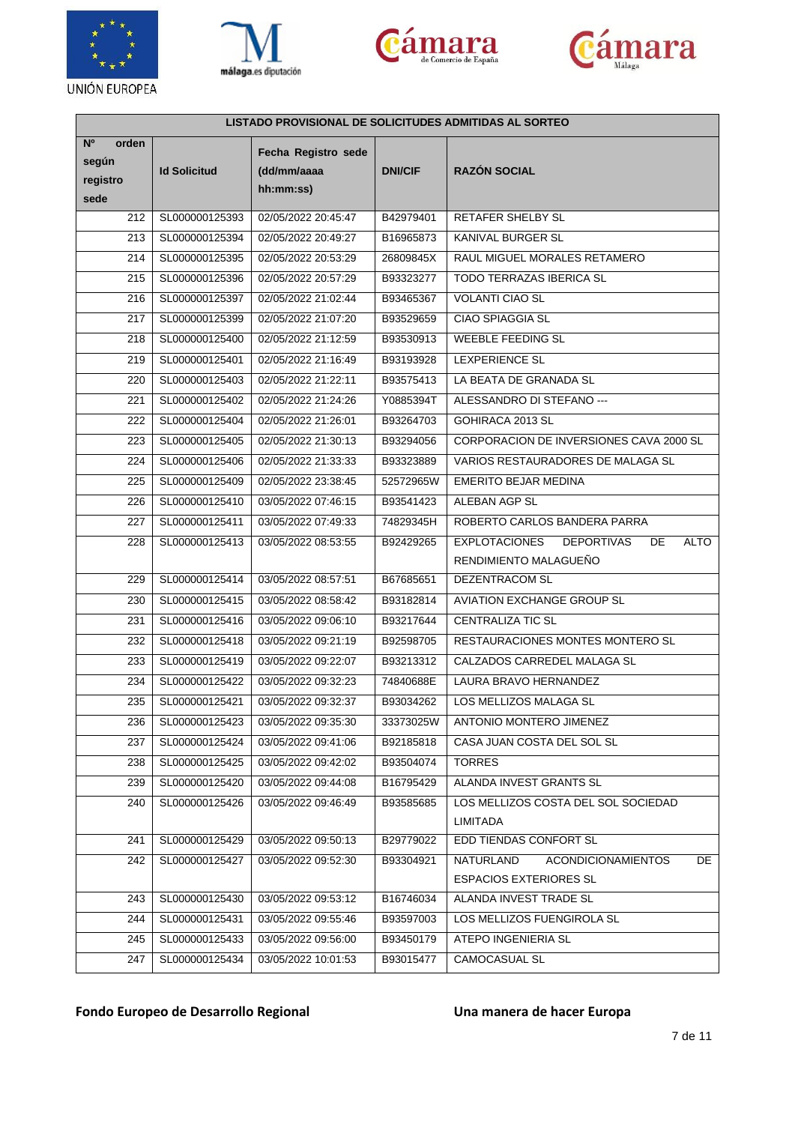







| LISTADO PROVISIONAL DE SOLICITUDES ADMITIDAS AL SORTEO |                     |                                                 |                |                                                                |  |
|--------------------------------------------------------|---------------------|-------------------------------------------------|----------------|----------------------------------------------------------------|--|
| N <sup>o</sup><br>orden<br>según<br>registro<br>sede   | <b>Id Solicitud</b> | Fecha Registro sede<br>(dd/mm/aaaa<br>hh:mm:ss) | <b>DNI/CIF</b> | <b>RAZÓN SOCIAL</b>                                            |  |
| 212                                                    | SL000000125393      | 02/05/2022 20:45:47                             | B42979401      | <b>RETAFER SHELBY SL</b>                                       |  |
| 213                                                    | SL000000125394      | 02/05/2022 20:49:27                             | B16965873      | KANIVAL BURGER SL                                              |  |
| 214                                                    | SL000000125395      | 02/05/2022 20:53:29                             | 26809845X      | RAUL MIGUEL MORALES RETAMERO                                   |  |
| 215                                                    | SL000000125396      | 02/05/2022 20:57:29                             | B93323277      | TODO TERRAZAS IBERICA SL                                       |  |
| 216                                                    | SL000000125397      | 02/05/2022 21:02:44                             | B93465367      | <b>VOLANTI CIAO SL</b>                                         |  |
| 217                                                    | SL000000125399      | 02/05/2022 21:07:20                             | B93529659      | <b>CIAO SPIAGGIA SL</b>                                        |  |
| 218                                                    | SL000000125400      | 02/05/2022 21:12:59                             | B93530913      | <b>WEEBLE FEEDING SL</b>                                       |  |
| 219                                                    | SL000000125401      | 02/05/2022 21:16:49                             | B93193928      | <b>LEXPERIENCE SL</b>                                          |  |
| 220                                                    | SL000000125403      | 02/05/2022 21:22:11                             | B93575413      | LA BEATA DE GRANADA SL                                         |  |
| 221                                                    | SL000000125402      | 02/05/2022 21:24:26                             | Y0885394T      | ALESSANDRO DI STEFANO ---                                      |  |
| 222                                                    | SL000000125404      | 02/05/2022 21:26:01                             | B93264703      | GOHIRACA 2013 SL                                               |  |
| 223                                                    | SL000000125405      | 02/05/2022 21:30:13                             | B93294056      | CORPORACION DE INVERSIONES CAVA 2000 SL                        |  |
| 224                                                    | SL000000125406      | 02/05/2022 21:33:33                             | B93323889      | VARIOS RESTAURADORES DE MALAGA SL                              |  |
| 225                                                    | SL000000125409      | 02/05/2022 23:38:45                             | 52572965W      | <b>EMERITO BEJAR MEDINA</b>                                    |  |
| 226                                                    | SL000000125410      | 03/05/2022 07:46:15                             | B93541423      | ALEBAN AGP SL                                                  |  |
| 227                                                    | SL000000125411      | 03/05/2022 07:49:33                             | 74829345H      | ROBERTO CARLOS BANDERA PARRA                                   |  |
| 228                                                    | SL000000125413      | 03/05/2022 08:53:55                             | B92429265      | <b>EXPLOTACIONES</b><br><b>DEPORTIVAS</b><br>DE<br><b>ALTO</b> |  |
|                                                        |                     |                                                 |                | RENDIMIENTO MALAGUEÑO                                          |  |
| 229                                                    | SL000000125414      | 03/05/2022 08:57:51                             | B67685651      | DEZENTRACOM SL                                                 |  |
| 230                                                    | SL000000125415      | 03/05/2022 08:58:42                             | B93182814      | AVIATION EXCHANGE GROUP SL                                     |  |
| 231                                                    | SL000000125416      | 03/05/2022 09:06:10                             | B93217644      | <b>CENTRALIZA TIC SL</b>                                       |  |
| 232                                                    | SL000000125418      | 03/05/2022 09:21:19                             | B92598705      | RESTAURACIONES MONTES MONTERO SL                               |  |
| 233                                                    | SL000000125419      | 03/05/2022 09:22:07                             | B93213312      | CALZADOS CARREDEL MALAGA SL                                    |  |
| 234                                                    | SL000000125422      | 03/05/2022 09:32:23                             | 74840688E      | LAURA BRAVO HERNANDEZ                                          |  |
| 235                                                    | SL000000125421      | 03/05/2022 09:32:37                             | B93034262      | LOS MELLIZOS MALAGA SL                                         |  |
| 236                                                    | SL000000125423      | 03/05/2022 09:35:30                             | 33373025W      | ANTONIO MONTERO JIMENEZ                                        |  |
| 237                                                    | SL000000125424      | 03/05/2022 09:41:06                             | B92185818      | CASA JUAN COSTA DEL SOL SL                                     |  |
| 238                                                    | SL000000125425      | 03/05/2022 09:42:02                             | B93504074      | <b>TORRES</b>                                                  |  |
| 239                                                    | SL000000125420      | 03/05/2022 09:44:08                             | B16795429      | ALANDA INVEST GRANTS SL                                        |  |
| 240                                                    | SL000000125426      | 03/05/2022 09:46:49                             | B93585685      | LOS MELLIZOS COSTA DEL SOL SOCIEDAD                            |  |
|                                                        |                     |                                                 |                | <b>LIMITADA</b>                                                |  |
| 241                                                    | SL000000125429      | 03/05/2022 09:50:13                             | B29779022      | EDD TIENDAS CONFORT SL                                         |  |
| 242                                                    | SL000000125427      | 03/05/2022 09:52:30                             | B93304921      | NATURLAND<br><b>ACONDICIONAMIENTOS</b><br>DE                   |  |
|                                                        |                     |                                                 |                | <b>ESPACIOS EXTERIORES SL</b>                                  |  |
| 243                                                    | SL000000125430      | 03/05/2022 09:53:12                             | B16746034      | ALANDA INVEST TRADE SL                                         |  |
| 244                                                    | SL000000125431      | 03/05/2022 09:55:46                             | B93597003      | LOS MELLIZOS FUENGIROLA SL                                     |  |
| 245                                                    | SL000000125433      | 03/05/2022 09:56:00                             | B93450179      | ATEPO INGENIERIA SL                                            |  |
| 247                                                    | SL000000125434      | 03/05/2022 10:01:53                             | B93015477      | CAMOCASUAL SL                                                  |  |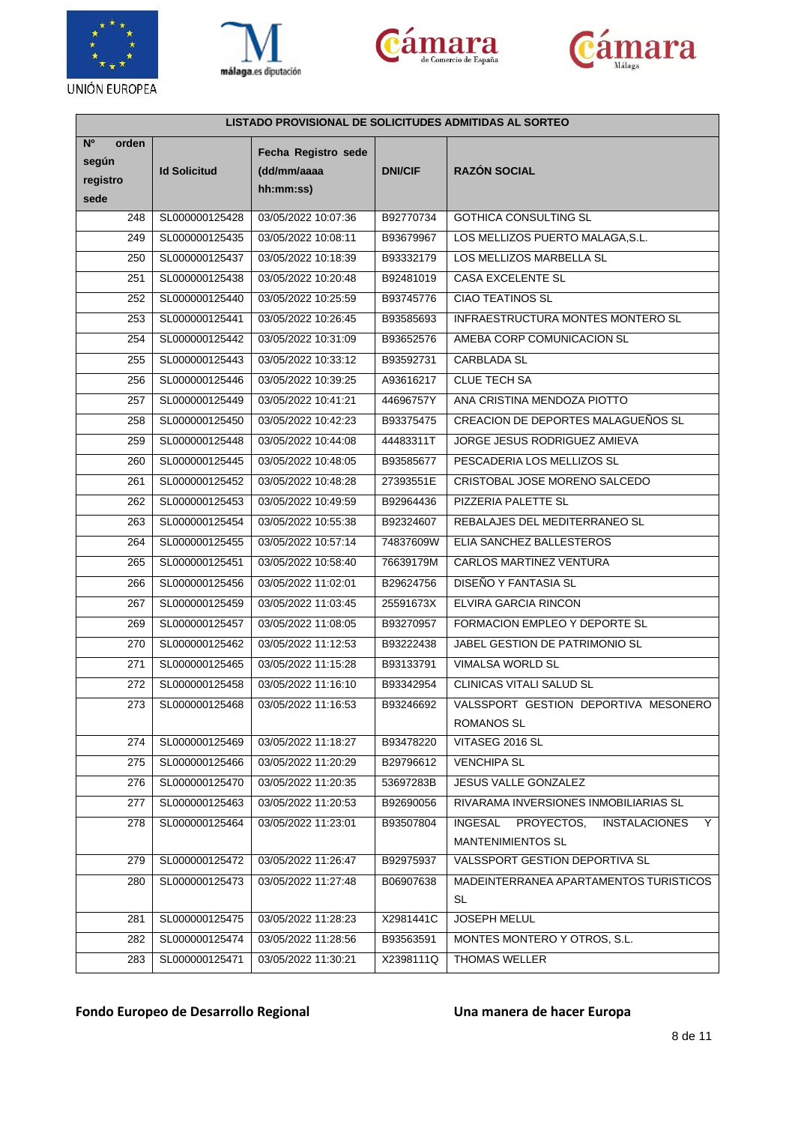







| LISTADO PROVISIONAL DE SOLICITUDES ADMITIDAS AL SORTEO |                     |                                                 |                |                                                           |  |
|--------------------------------------------------------|---------------------|-------------------------------------------------|----------------|-----------------------------------------------------------|--|
| N <sup>o</sup><br>orden<br>según<br>registro<br>sede   | <b>Id Solicitud</b> | Fecha Registro sede<br>(dd/mm/aaaa<br>hh:mm:ss) | <b>DNI/CIF</b> | <b>RAZÓN SOCIAL</b>                                       |  |
| 248                                                    | SL000000125428      | 03/05/2022 10:07:36                             | B92770734      | <b>GOTHICA CONSULTING SL</b>                              |  |
| 249                                                    | SL000000125435      | 03/05/2022 10:08:11                             | B93679967      | LOS MELLIZOS PUERTO MALAGA, S.L.                          |  |
| 250                                                    | SL000000125437      | 03/05/2022 10:18:39                             | B93332179      | LOS MELLIZOS MARBELLA SL                                  |  |
| 251                                                    | SL000000125438      | 03/05/2022 10:20:48                             | B92481019      | <b>CASA EXCELENTE SL</b>                                  |  |
| 252                                                    | SL000000125440      | 03/05/2022 10:25:59                             | B93745776      | <b>CIAO TEATINOS SL</b>                                   |  |
| 253                                                    | SL000000125441      | 03/05/2022 10:26:45                             | B93585693      | INFRAESTRUCTURA MONTES MONTERO SL                         |  |
| 254                                                    | SL000000125442      | 03/05/2022 10:31:09                             | B93652576      | AMEBA CORP COMUNICACION SL                                |  |
| 255                                                    | SL000000125443      | 03/05/2022 10:33:12                             | B93592731      | <b>CARBLADA SL</b>                                        |  |
| 256                                                    | SL000000125446      | 03/05/2022 10:39:25                             | A93616217      | CLUE TECH SA                                              |  |
| 257                                                    | SL000000125449      | 03/05/2022 10:41:21                             | 44696757Y      | ANA CRISTINA MENDOZA PIOTTO                               |  |
| 258                                                    | SL000000125450      | 03/05/2022 10:42:23                             | B93375475      | CREACION DE DEPORTES MALAGUEÑOS SL                        |  |
| 259                                                    | SL000000125448      | 03/05/2022 10:44:08                             | 44483311T      | JORGE JESUS RODRIGUEZ AMIEVA                              |  |
| 260                                                    | SL000000125445      | 03/05/2022 10:48:05                             | B93585677      | PESCADERIA LOS MELLIZOS SL                                |  |
| 261                                                    | SL000000125452      | 03/05/2022 10:48:28                             | 27393551E      | CRISTOBAL JOSE MORENO SALCEDO                             |  |
| 262                                                    | SL000000125453      | 03/05/2022 10:49:59                             | B92964436      | PIZZERIA PALETTE SL                                       |  |
| 263                                                    | SL000000125454      | 03/05/2022 10:55:38                             | B92324607      | REBALAJES DEL MEDITERRANEO SL                             |  |
| 264                                                    | SL000000125455      | 03/05/2022 10:57:14                             | 74837609W      | ELIA SANCHEZ BALLESTEROS                                  |  |
| 265                                                    | SL000000125451      | 03/05/2022 10:58:40                             | 76639179M      | CARLOS MARTINEZ VENTURA                                   |  |
| 266                                                    | SL000000125456      | 03/05/2022 11:02:01                             | B29624756      | DISEÑO Y FANTASIA SL                                      |  |
| 267                                                    | SL000000125459      | 03/05/2022 11:03:45                             | 25591673X      | ELVIRA GARCIA RINCON                                      |  |
| 269                                                    | SL000000125457      | 03/05/2022 11:08:05                             | B93270957      | FORMACION EMPLEO Y DEPORTE SL                             |  |
| 270                                                    | SL000000125462      | 03/05/2022 11:12:53                             | B93222438      | JABEL GESTION DE PATRIMONIO SL                            |  |
| 271                                                    | SL000000125465      | 03/05/2022 11:15:28                             | B93133791      | VIMALSA WORLD SL                                          |  |
| 272                                                    | SL000000125458      | 03/05/2022 11:16:10                             | B93342954      | CLINICAS VITALI SALUD SL                                  |  |
| 273                                                    | SL000000125468      | 03/05/2022 11:16:53                             | B93246692      | VALSSPORT GESTION DEPORTIVA MESONERO                      |  |
|                                                        |                     |                                                 |                | ROMANOS SL                                                |  |
| 274                                                    | SL000000125469      | 03/05/2022 11:18:27                             | B93478220      | VITASEG 2016 SL                                           |  |
| 275                                                    | SL000000125466      | 03/05/2022 11:20:29                             | B29796612      | <b>VENCHIPA SL</b>                                        |  |
| 276                                                    | SL000000125470      | 03/05/2022 11:20:35                             | 53697283B      | JESUS VALLE GONZALEZ                                      |  |
| 277                                                    | SL000000125463      | 03/05/2022 11:20:53                             | B92690056      | RIVARAMA INVERSIONES INMOBILIARIAS SL                     |  |
| 278                                                    | SL000000125464      | 03/05/2022 11:23:01                             | B93507804      | PROYECTOS,<br><b>INSTALACIONES</b><br><b>INGESAL</b><br>Y |  |
|                                                        |                     |                                                 |                | <b>MANTENIMIENTOS SL</b>                                  |  |
| 279                                                    | SL000000125472      | 03/05/2022 11:26:47                             | B92975937      | VALSSPORT GESTION DEPORTIVA SL                            |  |
| 280                                                    | SL000000125473      | 03/05/2022 11:27:48                             | B06907638      | MADEINTERRANEA APARTAMENTOS TURISTICOS<br><b>SL</b>       |  |
| 281                                                    | SL000000125475      | 03/05/2022 11:28:23                             | X2981441C      | <b>JOSEPH MELUL</b>                                       |  |
| 282                                                    | SL000000125474      | 03/05/2022 11:28:56                             | B93563591      | MONTES MONTERO Y OTROS, S.L.                              |  |
| 283                                                    | SL000000125471      | 03/05/2022 11:30:21                             | X2398111Q      | THOMAS WELLER                                             |  |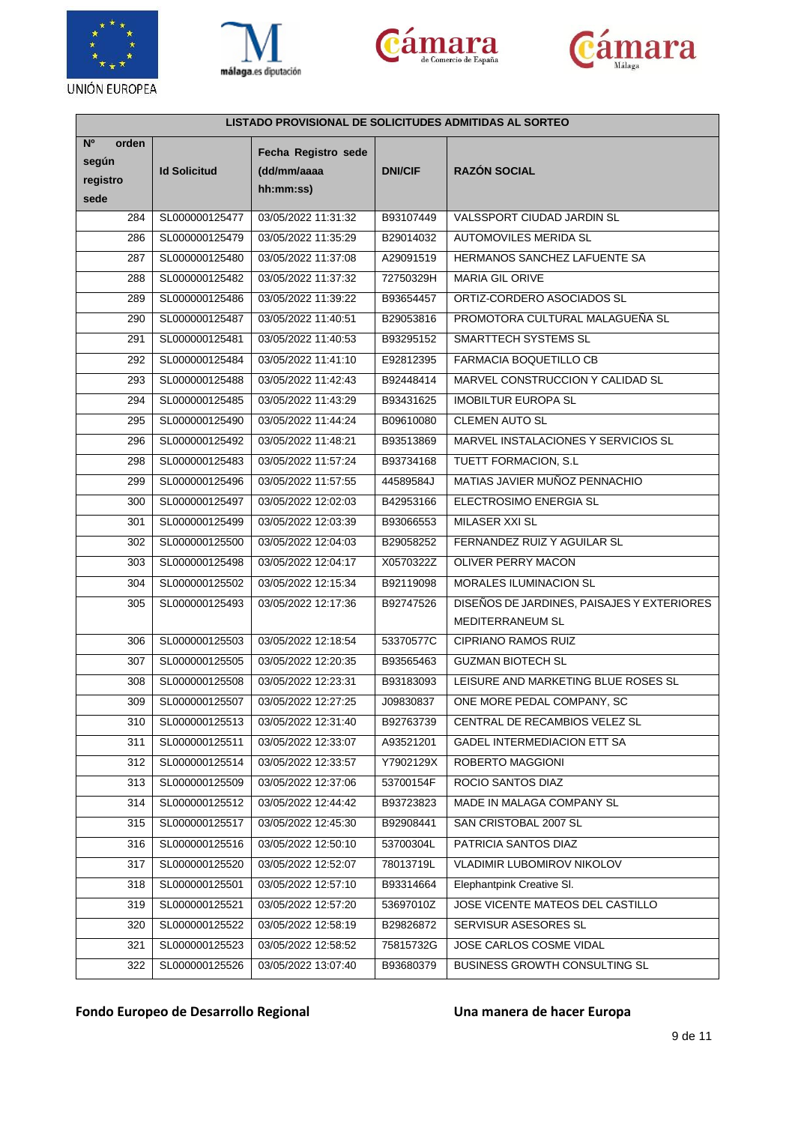







| LISTADO PROVISIONAL DE SOLICITUDES ADMITIDAS AL SORTEO |                     |                                                 |                |                                            |  |
|--------------------------------------------------------|---------------------|-------------------------------------------------|----------------|--------------------------------------------|--|
| N <sup>o</sup><br>orden<br>según<br>registro<br>sede   | <b>Id Solicitud</b> | Fecha Registro sede<br>(dd/mm/aaaa<br>hh:mm:ss) | <b>DNI/CIF</b> | <b>RAZÓN SOCIAL</b>                        |  |
| 284                                                    | SL000000125477      | 03/05/2022 11:31:32                             | B93107449      | VALSSPORT CIUDAD JARDIN SL                 |  |
| 286                                                    | SL000000125479      | 03/05/2022 11:35:29                             | B29014032      | AUTOMOVILES MERIDA SL                      |  |
| 287                                                    | SL000000125480      | 03/05/2022 11:37:08                             | A29091519      | HERMANOS SANCHEZ LAFUENTE SA               |  |
| 288                                                    | SL000000125482      | 03/05/2022 11:37:32                             | 72750329H      | MARIA GIL ORIVE                            |  |
| 289                                                    | SL000000125486      | 03/05/2022 11:39:22                             | B93654457      | ORTIZ-CORDERO ASOCIADOS SL                 |  |
| 290                                                    | SL000000125487      | 03/05/2022 11:40:51                             | B29053816      | PROMOTORA CULTURAL MALAGUEÑA SL            |  |
| 291                                                    | SL000000125481      | 03/05/2022 11:40:53                             | B93295152      | SMARTTECH SYSTEMS SL                       |  |
| 292                                                    | SL000000125484      | 03/05/2022 11:41:10                             | E92812395      | FARMACIA BOQUETILLO CB                     |  |
| 293                                                    | SL000000125488      | 03/05/2022 11:42:43                             | B92448414      | MARVEL CONSTRUCCION Y CALIDAD SL           |  |
| 294                                                    | SL000000125485      | 03/05/2022 11:43:29                             | B93431625      | <b>IMOBILTUR EUROPA SL</b>                 |  |
| 295                                                    | SL000000125490      | 03/05/2022 11:44:24                             | B09610080      | <b>CLEMEN AUTO SL</b>                      |  |
| 296                                                    | SL000000125492      | 03/05/2022 11:48:21                             | B93513869      | MARVEL INSTALACIONES Y SERVICIOS SL        |  |
| 298                                                    | SL000000125483      | 03/05/2022 11:57:24                             | B93734168      | TUETT FORMACION, S.L.                      |  |
| 299                                                    | SL000000125496      | 03/05/2022 11:57:55                             | 44589584J      | MATIAS JAVIER MUÑOZ PENNACHIO              |  |
| 300                                                    | SL000000125497      | 03/05/2022 12:02:03                             | B42953166      | ELECTROSIMO ENERGIA SL                     |  |
| 301                                                    | SL000000125499      | 03/05/2022 12:03:39                             | B93066553      | MILASER XXI SL                             |  |
| 302                                                    | SL000000125500      | 03/05/2022 12:04:03                             | B29058252      | FERNANDEZ RUIZ Y AGUILAR SL                |  |
| 303                                                    | SL000000125498      | 03/05/2022 12:04:17                             | X0570322Z      | OLIVER PERRY MACON                         |  |
| 304                                                    | SL000000125502      | 03/05/2022 12:15:34                             | B92119098      | MORALES ILUMINACION SL                     |  |
| 305                                                    | SL000000125493      | 03/05/2022 12:17:36                             | B92747526      | DISEÑOS DE JARDINES, PAISAJES Y EXTERIORES |  |
|                                                        |                     |                                                 |                | MEDITERRANEUM SL                           |  |
| 306                                                    | SL000000125503      | 03/05/2022 12:18:54                             | 53370577C      | <b>CIPRIANO RAMOS RUIZ</b>                 |  |
| 307                                                    | SL000000125505      | 03/05/2022 12:20:35                             | B93565463      | <b>GUZMAN BIOTECH SL</b>                   |  |
| 308                                                    | SL000000125508      | 03/05/2022 12:23:31                             | B93183093      | LEISURE AND MARKETING BLUE ROSES SL        |  |
| 309                                                    | SL000000125507      | 03/05/2022 12:27:25                             | J09830837      | ONE MORE PEDAL COMPANY, SC                 |  |
| 310                                                    | SL000000125513      | 03/05/2022 12:31:40                             | B92763739      | CENTRAL DE RECAMBIOS VELEZ SL              |  |
| 311                                                    | SL000000125511      | 03/05/2022 12:33:07                             | A93521201      | <b>GADEL INTERMEDIACION ETT SA</b>         |  |
| 312                                                    | SL000000125514      | 03/05/2022 12:33:57                             | Y7902129X      | ROBERTO MAGGIONI                           |  |
| 313                                                    | SL000000125509      | 03/05/2022 12:37:06                             | 53700154F      | ROCIO SANTOS DIAZ                          |  |
| 314                                                    | SL000000125512      | 03/05/2022 12:44:42                             | B93723823      | MADE IN MALAGA COMPANY SL                  |  |
| 315                                                    | SL000000125517      | 03/05/2022 12:45:30                             | B92908441      | SAN CRISTOBAL 2007 SL                      |  |
| 316                                                    | SL000000125516      | 03/05/2022 12:50:10                             | 53700304L      | PATRICIA SANTOS DIAZ                       |  |
| 317                                                    | SL000000125520      | 03/05/2022 12:52:07                             | 78013719L      | <b>VLADIMIR LUBOMIROV NIKOLOV</b>          |  |
| 318                                                    | SL000000125501      | 03/05/2022 12:57:10                             | B93314664      | Elephantpink Creative SI.                  |  |
| 319                                                    | SL000000125521      | 03/05/2022 12:57:20                             | 53697010Z      | JOSE VICENTE MATEOS DEL CASTILLO           |  |
| 320                                                    | SL000000125522      | 03/05/2022 12:58:19                             | B29826872      | SERVISUR ASESORES SL                       |  |
| 321                                                    | SL000000125523      | 03/05/2022 12:58:52                             | 75815732G      | JOSE CARLOS COSME VIDAL                    |  |
| 322                                                    | SL000000125526      | 03/05/2022 13:07:40                             | B93680379      | BUSINESS GROWTH CONSULTING SL              |  |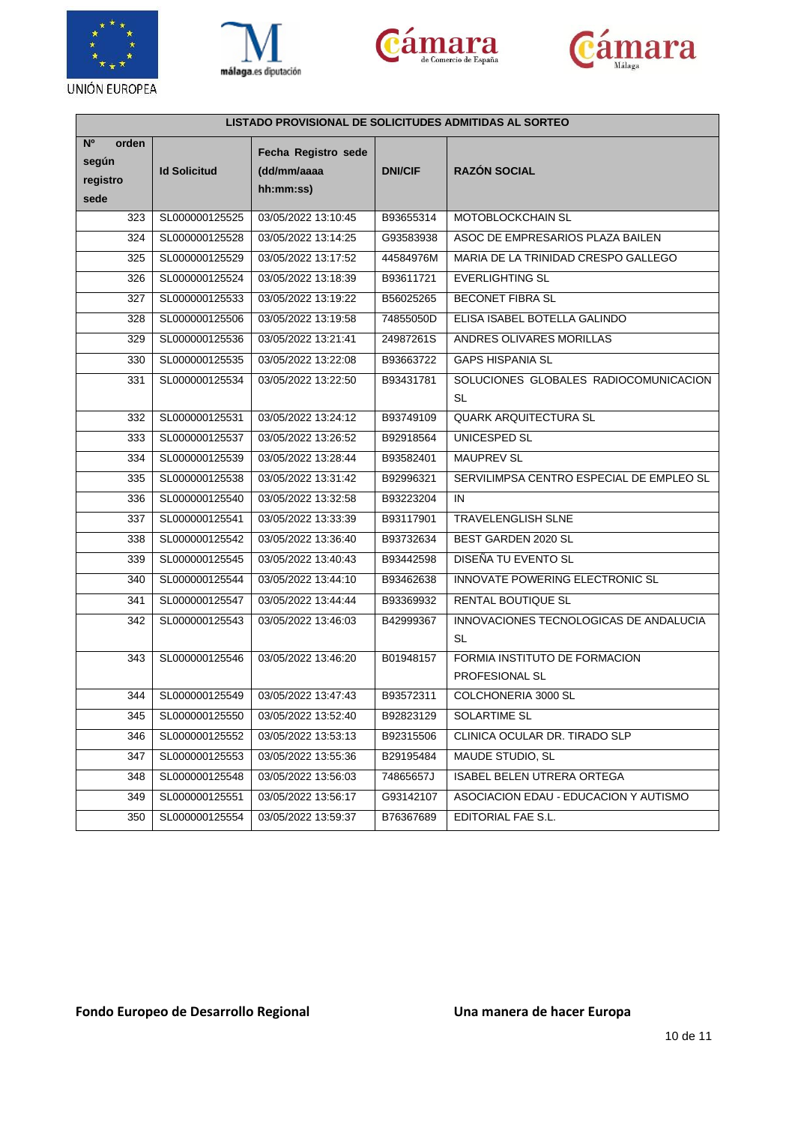







| LISTADO PROVISIONAL DE SOLICITUDES ADMITIDAS AL SORTEO |                     |                                                 |                |                                                     |  |
|--------------------------------------------------------|---------------------|-------------------------------------------------|----------------|-----------------------------------------------------|--|
| N <sup>o</sup><br>orden<br>según<br>registro<br>sede   | <b>Id Solicitud</b> | Fecha Registro sede<br>(dd/mm/aaaa<br>hh:mm:ss) | <b>DNI/CIF</b> | <b>RAZÓN SOCIAL</b>                                 |  |
| 323                                                    | SL000000125525      | 03/05/2022 13:10:45                             | B93655314      | MOTOBLOCKCHAIN SL                                   |  |
| 324                                                    | SL000000125528      | 03/05/2022 13:14:25                             | G93583938      | ASOC DE EMPRESARIOS PLAZA BAILEN                    |  |
| 325                                                    | SL000000125529      | 03/05/2022 13:17:52                             | 44584976M      | MARIA DE LA TRINIDAD CRESPO GALLEGO                 |  |
| 326                                                    | SL000000125524      | 03/05/2022 13:18:39                             | B93611721      | <b>EVERLIGHTING SL</b>                              |  |
| 327                                                    | SL000000125533      | 03/05/2022 13:19:22                             | B56025265      | <b>BECONET FIBRA SL</b>                             |  |
| 328                                                    | SL000000125506      | 03/05/2022 13:19:58                             | 74855050D      | ELISA ISABEL BOTELLA GALINDO                        |  |
| 329                                                    | SL000000125536      | 03/05/2022 13:21:41                             | 24987261S      | ANDRES OLIVARES MORILLAS                            |  |
| 330                                                    | SL000000125535      | 03/05/2022 13:22:08                             | B93663722      | <b>GAPS HISPANIA SL</b>                             |  |
| 331                                                    | SL000000125534      | 03/05/2022 13:22:50                             | B93431781      | SOLUCIONES GLOBALES RADIOCOMUNICACION<br><b>SL</b>  |  |
| 332                                                    | SL000000125531      | 03/05/2022 13:24:12                             | B93749109      | QUARK ARQUITECTURA SL                               |  |
| 333                                                    | SL000000125537      | 03/05/2022 13:26:52                             | B92918564      | <b>UNICESPED SL</b>                                 |  |
| 334                                                    | SL000000125539      | 03/05/2022 13:28:44                             | B93582401      | <b>MAUPREV SL</b>                                   |  |
| 335                                                    | SL000000125538      | 03/05/2022 13:31:42                             | B92996321      | SERVILIMPSA CENTRO ESPECIAL DE EMPLEO SL            |  |
| 336                                                    | SL000000125540      | 03/05/2022 13:32:58                             | B93223204      | IN                                                  |  |
| 337                                                    | SL000000125541      | 03/05/2022 13:33:39                             | B93117901      | <b>TRAVELENGLISH SLNE</b>                           |  |
| 338                                                    | SL000000125542      | 03/05/2022 13:36:40                             | B93732634      | BEST GARDEN 2020 SL                                 |  |
| 339                                                    | SL000000125545      | 03/05/2022 13:40:43                             | B93442598      | DISEÑA TU EVENTO SL                                 |  |
| 340                                                    | SL000000125544      | 03/05/2022 13:44:10                             | B93462638      | INNOVATE POWERING ELECTRONIC SL                     |  |
| 341                                                    | SL000000125547      | 03/05/2022 13:44:44                             | B93369932      | RENTAL BOUTIQUE SL                                  |  |
| 342                                                    | SL000000125543      | 03/05/2022 13:46:03                             | B42999367      | INNOVACIONES TECNOLOGICAS DE ANDALUCIA<br><b>SL</b> |  |
| 343                                                    | SL000000125546      | 03/05/2022 13:46:20                             | B01948157      | FORMIA INSTITUTO DE FORMACION                       |  |
|                                                        |                     |                                                 |                | PROFESIONAL SL                                      |  |
| 344                                                    | SL000000125549      | 03/05/2022 13:47:43                             | B93572311      | COLCHONERIA 3000 SL                                 |  |
| 345                                                    | SL000000125550      | 03/05/2022 13:52:40                             | B92823129      | SOLARTIME SL                                        |  |
| 346                                                    | SL000000125552      | 03/05/2022 13:53:13                             | B92315506      | CLINICA OCULAR DR. TIRADO SLP                       |  |
| 347                                                    | SL000000125553      | 03/05/2022 13:55:36                             | B29195484      | MAUDE STUDIO, SL                                    |  |
| 348                                                    | SL000000125548      | 03/05/2022 13:56:03                             | 74865657J      | ISABEL BELEN UTRERA ORTEGA                          |  |
| 349                                                    | SL000000125551      | 03/05/2022 13:56:17                             | G93142107      | ASOCIACION EDAU - EDUCACION Y AUTISMO               |  |
| 350                                                    | SL000000125554      | 03/05/2022 13:59:37                             | B76367689      | EDITORIAL FAE S.L.                                  |  |